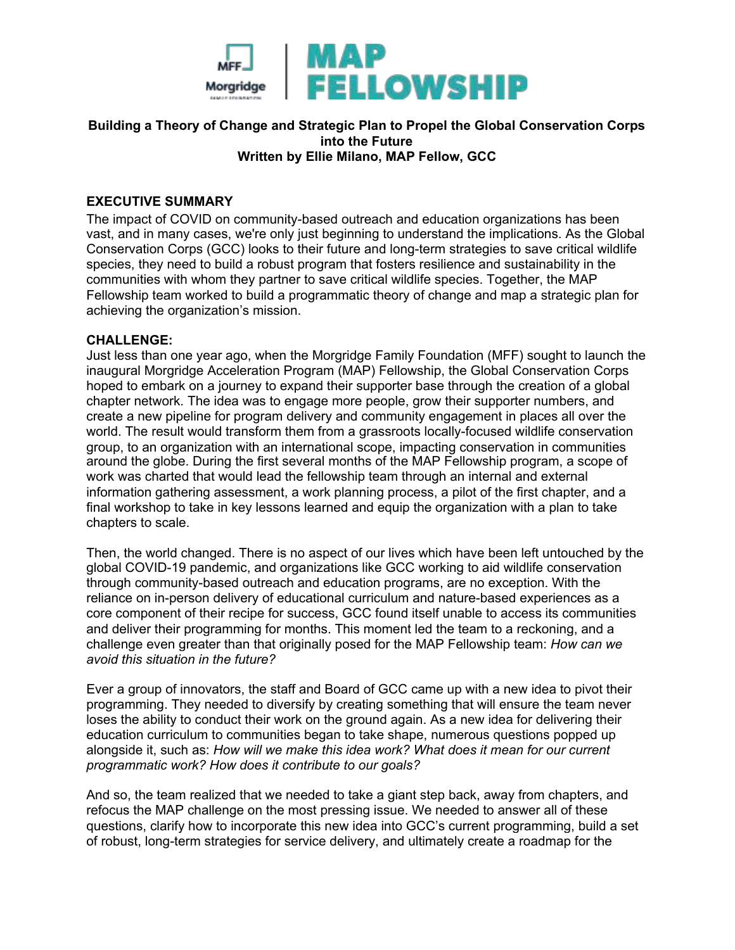

#### **Building a Theory of Change and Strategic Plan to Propel the Global Conservation Corps into the Future Written by Ellie Milano, MAP Fellow, GCC**

## **EXECUTIVE SUMMARY**

The impact of COVID on community-based outreach and education organizations has been vast, and in many cases, we're only just beginning to understand the implications. As the Global Conservation Corps (GCC) looks to their future and long-term strategies to save critical wildlife species, they need to build a robust program that fosters resilience and sustainability in the communities with whom they partner to save critical wildlife species. Together, the MAP Fellowship team worked to build a programmatic theory of change and map a strategic plan for achieving the organization's mission.

#### **CHALLENGE:**

Just less than one year ago, when the Morgridge Family Foundation (MFF) sought to launch the inaugural Morgridge Acceleration Program (MAP) Fellowship, the Global Conservation Corps hoped to embark on a journey to expand their supporter base through the creation of a global chapter network. The idea was to engage more people, grow their supporter numbers, and create a new pipeline for program delivery and community engagement in places all over the world. The result would transform them from a grassroots locally-focused wildlife conservation group, to an organization with an international scope, impacting conservation in communities around the globe. During the first several months of the MAP Fellowship program, a scope of work was charted that would lead the fellowship team through an internal and external information gathering assessment, a work planning process, a pilot of the first chapter, and a final workshop to take in key lessons learned and equip the organization with a plan to take chapters to scale.

Then, the world changed. There is no aspect of our lives which have been left untouched by the global COVID-19 pandemic, and organizations like GCC working to aid wildlife conservation through community-based outreach and education programs, are no exception. With the reliance on in-person delivery of educational curriculum and nature-based experiences as a core component of their recipe for success, GCC found itself unable to access its communities and deliver their programming for months. This moment led the team to a reckoning, and a challenge even greater than that originally posed for the MAP Fellowship team: *How can we avoid this situation in the future?*

Ever a group of innovators, the staff and Board of GCC came up with a new idea to pivot their programming. They needed to diversify by creating something that will ensure the team never loses the ability to conduct their work on the ground again. As a new idea for delivering their education curriculum to communities began to take shape, numerous questions popped up alongside it, such as: *How will we make this idea work? What does it mean for our current programmatic work? How does it contribute to our goals?* 

And so, the team realized that we needed to take a giant step back, away from chapters, and refocus the MAP challenge on the most pressing issue. We needed to answer all of these questions, clarify how to incorporate this new idea into GCC's current programming, build a set of robust, long-term strategies for service delivery, and ultimately create a roadmap for the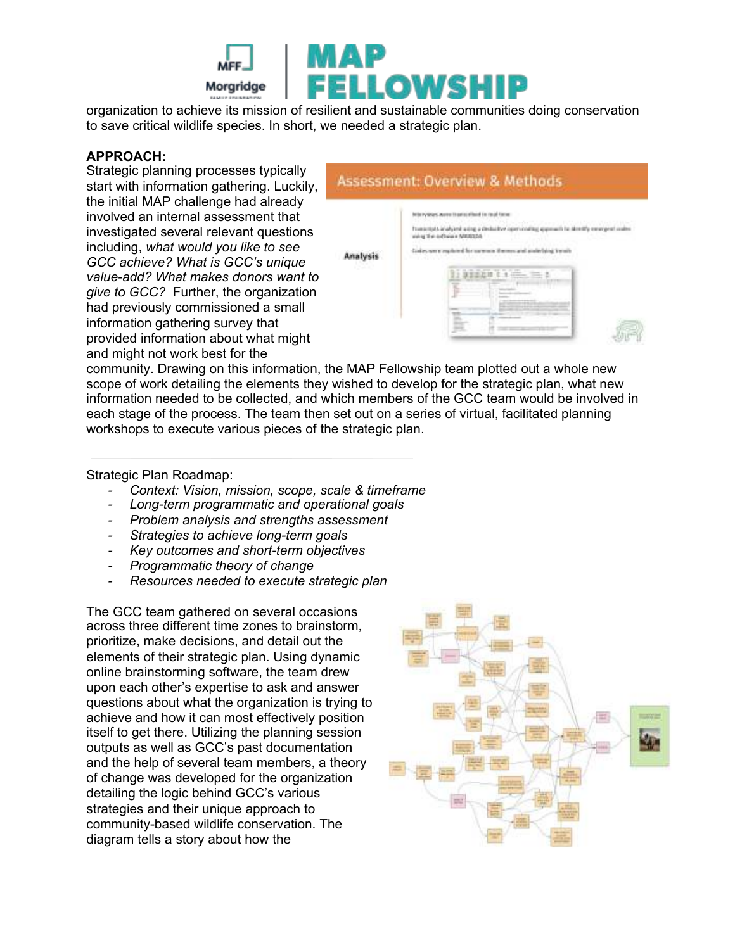

organization to achieve its mission of resilient and sustainable communities doing conservation to save critical wildlife species. In short, we needed a strategic plan.

#### **APPROACH:**

Strategic planning processes typically start with information gathering. Luckily, the initial MAP challenge had already involved an internal assessment that investigated several relevant questions including, *what would you like to see GCC achieve? What is GCC's unique value-add? What makes donors want to give to GCC?* Further, the organization had previously commissioned a small information gathering survey that provided information about what might and might not work best for the

|                 | <b>Assessment: Overview &amp; Methods</b>                                                                      |
|-----------------|----------------------------------------------------------------------------------------------------------------|
| <b>Analysis</b> | approximate to effect in receiving                                                                             |
|                 | Transmitted analyzed wing a declaritier operatoring approach to strently enverges<br>ring the orthoics MARS256 |
|                 |                                                                                                                |
|                 |                                                                                                                |
|                 |                                                                                                                |
|                 |                                                                                                                |
|                 |                                                                                                                |

community. Drawing on this information, the MAP Fellowship team plotted out a whole new scope of work detailing the elements they wished to develop for the strategic plan, what new information needed to be collected, and which members of the GCC team would be involved in each stage of the process. The team then set out on a series of virtual, facilitated planning workshops to execute various pieces of the strategic plan.

### Strategic Plan Roadmap:

- *Context: Vision, mission, scope, scale & timeframe*
- *Long-term programmatic and operational goals*
- *Problem analysis and strengths assessment*
- *Strategies to achieve long-term goals*
- *Key outcomes and short-term objectives*
- *Programmatic theory of change*
- *Resources needed to execute strategic plan*

The GCC team gathered on several occasions across three different time zones to brainstorm, prioritize, make decisions, and detail out the elements of their strategic plan. Using dynamic online brainstorming software, the team drew upon each other's expertise to ask and answer questions about what the organization is trying to achieve and how it can most effectively position itself to get there. Utilizing the planning session outputs as well as GCC's past documentation and the help of several team members, a theory of change was developed for the organization detailing the logic behind GCC's various strategies and their unique approach to community-based wildlife conservation. The diagram tells a story about how the

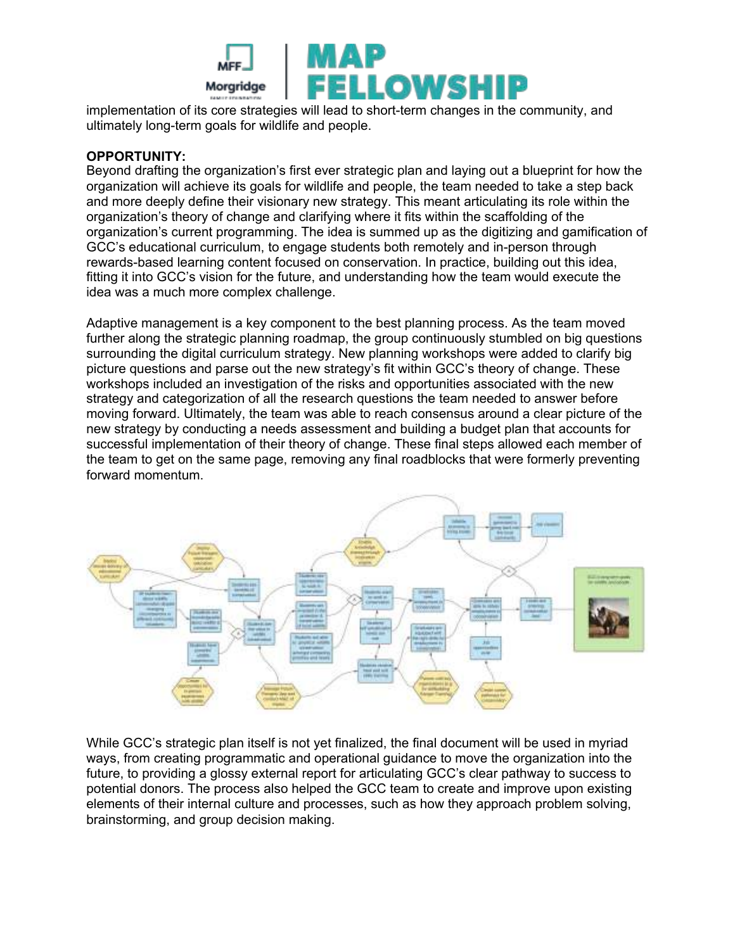

implementation of its core strategies will lead to short-term changes in the community, and ultimately long-term goals for wildlife and people.

## **OPPORTUNITY:**

Beyond drafting the organization's first ever strategic plan and laying out a blueprint for how the organization will achieve its goals for wildlife and people, the team needed to take a step back and more deeply define their visionary new strategy. This meant articulating its role within the organization's theory of change and clarifying where it fits within the scaffolding of the organization's current programming. The idea is summed up as the digitizing and gamification of GCC's educational curriculum, to engage students both remotely and in-person through rewards-based learning content focused on conservation. In practice, building out this idea, fitting it into GCC's vision for the future, and understanding how the team would execute the idea was a much more complex challenge.

Adaptive management is a key component to the best planning process. As the team moved further along the strategic planning roadmap, the group continuously stumbled on big questions surrounding the digital curriculum strategy. New planning workshops were added to clarify big picture questions and parse out the new strategy's fit within GCC's theory of change. These workshops included an investigation of the risks and opportunities associated with the new strategy and categorization of all the research questions the team needed to answer before moving forward. Ultimately, the team was able to reach consensus around a clear picture of the new strategy by conducting a needs assessment and building a budget plan that accounts for successful implementation of their theory of change. These final steps allowed each member of the team to get on the same page, removing any final roadblocks that were formerly preventing forward momentum.



While GCC's strategic plan itself is not yet finalized, the final document will be used in myriad ways, from creating programmatic and operational guidance to move the organization into the future, to providing a glossy external report for articulating GCC's clear pathway to success to potential donors. The process also helped the GCC team to create and improve upon existing elements of their internal culture and processes, such as how they approach problem solving, brainstorming, and group decision making.